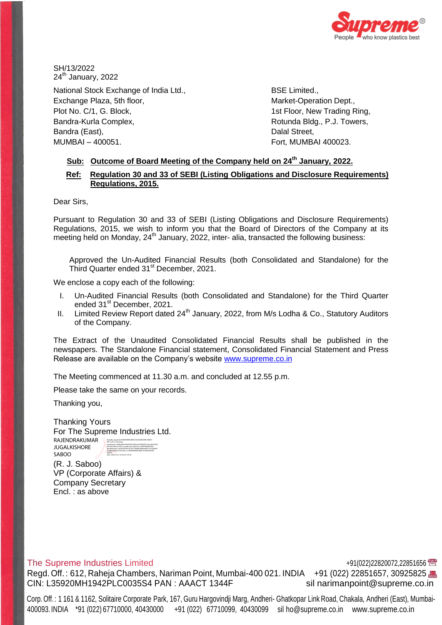

SH/13/2022  $24<sup>th</sup>$  January, 2022

National Stock Exchange of India Ltd., Exchange Plaza, 5th floor, Plot No. C/1, G. Block, Bandra-Kurla Complex, Bandra (East), MUMBAI – 400051.

BSE Limited., Market-Operation Dept., 1st Floor, New Trading Ring, Rotunda Bldg., P.J. Towers, Dalal Street, Fort, MUMBAI 400023.

# **Sub: Outcome of Board Meeting of the Company held on 24th January, 2022.**

# **Ref: Regulation 30 and 33 of SEBI (Listing Obligations and Disclosure Requirements) Regulations, 2015.**

Dear Sirs,

Pursuant to Regulation 30 and 33 of SEBI (Listing Obligations and Disclosure Requirements) Regulations, 2015, we wish to inform you that the Board of Directors of the Company at its meeting held on Monday, 24<sup>th</sup> January, 2022, inter- alia, transacted the following business:

Approved the Un-Audited Financial Results (both Consolidated and Standalone) for the Third Quarter ended 31<sup>st</sup> December, 2021.

We enclose a copy each of the following:

- I. Un-Audited Financial Results (both Consolidated and Standalone) for the Third Quarter ended 31<sup>st</sup> December, 2021.
- II. Limited Review Report dated  $24<sup>th</sup>$  January, 2022, from M/s Lodha & Co., Statutory Auditors of the Company.

The Extract of the Unaudited Consolidated Financial Results shall be published in the newspapers. The Standalone Financial statement, Consolidated Financial Statement and Press Release are available on the Company's website [www.supreme.co.in](http://www.supreme.co.in/)

The Meeting commenced at 11.30 a.m. and concluded at 12.55 p.m.

Please take the same on your records.

Thanking you,

Thanking Yours For The Supreme Industries Ltd. RAJENDRAKUMAR JUGALKISHORE SABOO Digitally signed by RAJENDRAKUMAR JUGALKISHORE SABOO DN: c=IN, o=Personal, pseudonym=d69ed463a5f6a03007e9f52e3a24829f51e4ace8672b40 0061f5633bb1247f27, postalCode=400014, st=MAHARASHTRA, serialNumber=ca00050c5820c01b5718dbf44de8aa6b977e57bfdd02 9ccdb29ad6347cae27b8, cn=RAJENDRAKUMAR JUGALKISHORE SABOO Date: 2022.01.24 13:03:29 +05'30'

(R. J. Saboo) VP (Corporate Affairs) & Company Secretary Encl. : as above

## The Supreme Industries Limited  $+91(022)22820072,22851656$

Regd. Off.: 612, Raheja Chambers, Nariman Point, Mumbai-400 021. INDIA +91 (022) 22851657, 30925825 CIN: L35920MH1942PLC0035S4 PAN : AAACT 1344F [sil narimanpoint@supreme.co.in](mailto:sil_narimanpoint@supreme.co.in)

Corp. Off. : 1 161 & 1162, Solitaire Corporate Park, 167, Guru Hargovindji Marg, Andheri- Ghatkopar Link Road, Chakala, Andheri (East), Mumbai-400093. INDIA \*91 (022) 67710000, 40430000 +91 (022) 67710099, 40430099 sil [ho@supreme.co.in](mailto:sil_ho@supreme.co.in) [www.supreme.co.in](http://www.supreme.co.in/)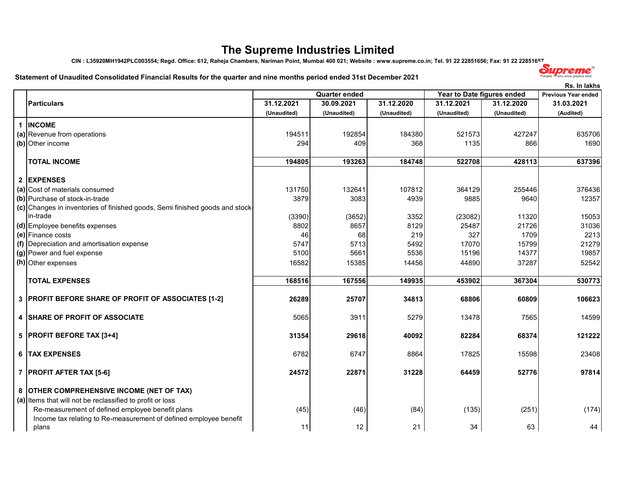# **The Supreme Industries Limited**

**CIN : L35920MH1942PLC003554; Regd. Office: 612, Raheja Chambers, Nariman Point, Mumbai 400 021; Website : www.supreme.co.in; Tel. 91 22 22851656; Fax: 91 22 22851657**

### **Statement of Unaudited Consolidated Financial Results for the quarter and nine months period ended 31st December 2021**

|                                                                                                                                                            |             |                      |             |                            |             | Rs. In lakhs        |
|------------------------------------------------------------------------------------------------------------------------------------------------------------|-------------|----------------------|-------------|----------------------------|-------------|---------------------|
|                                                                                                                                                            |             | <b>Quarter ended</b> |             | Year to Date figures ended |             | Previous Year ended |
| Particulars                                                                                                                                                | 31.12.2021  | 30.09.2021           | 31.12.2020  | 31.12.2021                 | 31.12.2020  | 31.03.2021          |
|                                                                                                                                                            | (Unaudited) | (Unaudited)          | (Unaudited) | (Unaudited)                | (Unaudited) | (Audited)           |
| 1 INCOME                                                                                                                                                   |             |                      |             |                            |             |                     |
| (a) Revenue from operations                                                                                                                                | 194511      | 192854               | 184380      | 521573                     | 427247      | 635706              |
| (b) Other income                                                                                                                                           | 294         | 409                  | 368         | 1135                       | 866         | 1690                |
| <b>TOTAL INCOME</b>                                                                                                                                        | 194805      | 193263               | 184748      | 522708                     | 428113      | 637396              |
| 2 EXPENSES                                                                                                                                                 |             |                      |             |                            |             |                     |
| (a) Cost of materials consumed                                                                                                                             | 131750      | 132641               | 107812      | 364129                     | 255446      | 376436              |
| (b) Purchase of stock-in-trade                                                                                                                             | 3879        | 3083                 | 4939        | 9885                       | 9640        | 12357               |
| (c) Changes in inventories of finished goods, Semi finished goods and stock-                                                                               |             |                      |             |                            |             |                     |
| in-trade                                                                                                                                                   | (3390)      | (3652)               | 3352        | (23082)                    | 11320       | 15053               |
| (d) Employee benefits expenses                                                                                                                             | 8802        | 8657                 | 8129        | 25487                      | 21726       | 31036               |
| (e) Finance costs                                                                                                                                          | 46          | 68                   | 219         | 327                        | 1709        | 2213                |
| (f) Depreciation and amortisation expense                                                                                                                  | 5747        | 5713                 | 5492        | 17070                      | 15799       | 21279               |
| (g) Power and fuel expense                                                                                                                                 | 5100        | 5661                 | 5536        | 15196                      | 14377       | 19857               |
| $(h)$ Other expenses                                                                                                                                       | 16582       | 15385                | 14456       | 44890                      | 37287       | 52542               |
| <b>TOTAL EXPENSES</b>                                                                                                                                      | 168516      | 167556               | 149935      | 453902                     | 367304      | 530773              |
| 3   PROFIT BEFORE SHARE OF PROFIT OF ASSOCIATES [1-2]                                                                                                      | 26289       | 25707                | 34813       | 68806                      | 60809       | 106623              |
| <b>4 SHARE OF PROFIT OF ASSOCIATE</b>                                                                                                                      | 5065        | 3911                 | 5279        | 13478                      | 7565        | 14599               |
| 5 PROFIT BEFORE TAX [3+4]                                                                                                                                  | 31354       | 29618                | 40092       | 82284                      | 68374       | 121222              |
| <b>6   TAX EXPENSES</b>                                                                                                                                    | 6782        | 6747                 | 8864        | 17825                      | 15598       | 23408               |
| 7   PROFIT AFTER TAX [5-6]                                                                                                                                 | 24572       | 22871                | 31228       | 64459                      | 52776       | 97814               |
| 8 OTHER COMPREHENSIVE INCOME (NET OF TAX)<br>(a) Items that will not be reclassified to profit or loss<br>Re-measurement of defined employee benefit plans | (45)        | (46)                 | (84)        | (135)                      | (251)       | (174)               |
| Income tax relating to Re-measurement of defined employee benefit<br>plans                                                                                 | 11          | 12                   | 21          | 34                         | 63          | 44                  |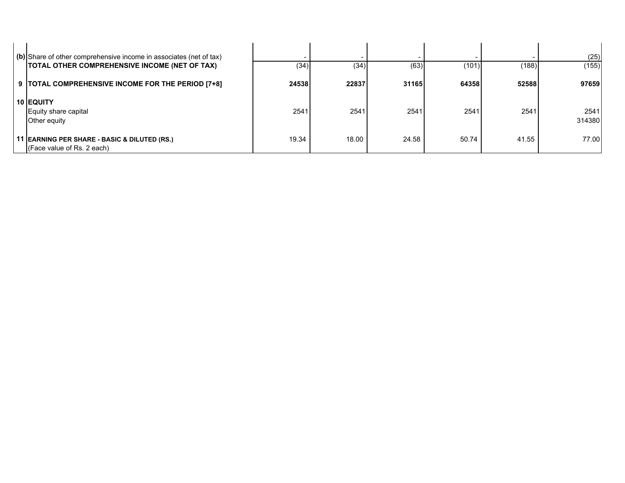| (b) Share of other comprehensive income in associates (net of tax)<br>TOTAL OTHER COMPREHENSIVE INCOME (NET OF TAX) | (34)  | (34)  | (63)  | (101) | (188) | (25)<br>(155)  |
|---------------------------------------------------------------------------------------------------------------------|-------|-------|-------|-------|-------|----------------|
| 9  TOTAL COMPREHENSIVE INCOME FOR THE PERIOD [7+8]                                                                  | 24538 | 22837 | 31165 | 64358 | 52588 | 97659          |
| <b>10 EQUITY</b><br>Equity share capital<br>Other equity                                                            | 2541  | 2541  | 2541  | 2541  | 2541  | 2541<br>314380 |
| 11 EARNING PER SHARE - BASIC & DILUTED (RS.)<br>$ $ (Face value of Rs. 2 each)                                      | 19.34 | 18.00 | 24.58 | 50.74 | 41.55 | 77.00          |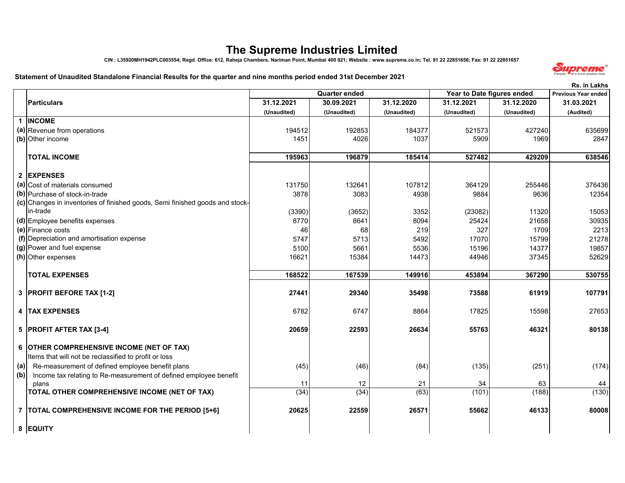# **The Supreme Industries Limited**

**CIN : L35920MH1942PLC003554; Regd. Office: 612, Raheja Chambers, Nariman Point, Mumbai 400 021; Website : www.supreme.co.in; Tel. 91 22 22851656; Fax: 91 22 22851657**

#### **Statement of Unaudited Standalone Financial Results for the quarter and nine months period ended 31st December 2021**



|     |                                                                              |             |                      |             |                            |             | <b>Rs. in Lakhs</b>        |
|-----|------------------------------------------------------------------------------|-------------|----------------------|-------------|----------------------------|-------------|----------------------------|
|     |                                                                              |             | <b>Quarter ended</b> |             | Year to Date figures ended |             | <b>Previous Year ended</b> |
|     | <b>Particulars</b>                                                           | 31.12.2021  | 30.09.2021           | 31.12.2020  | 31.12.2021                 | 31.12.2020  | 31.03.2021                 |
|     |                                                                              | (Unaudited) | (Unaudited)          | (Unaudited) | (Unaudited)                | (Unaudited) | (Audited)                  |
|     | 1 INCOME                                                                     |             |                      |             |                            |             |                            |
|     | (a) Revenue from operations                                                  | 194512      | 192853               | 184377      | 521573                     | 427240      | 635699                     |
|     | (b) Other income                                                             | 1451        | 4026                 | 1037        | 5909                       | 1969        | 2847                       |
|     |                                                                              |             |                      |             |                            |             |                            |
|     | <b>TOTAL INCOME</b>                                                          | 195963      | 196879               | 185414      | 527482                     | 429209      | 638546                     |
|     |                                                                              |             |                      |             |                            |             |                            |
|     | 2 EXPENSES                                                                   |             |                      |             |                            |             |                            |
|     | (a) Cost of materials consumed                                               | 131750      | 132641               | 107812      | 364129                     | 255446      | 376436                     |
|     | (b) Purchase of stock-in-trade                                               | 3878        | 3083                 | 4938        | 9884                       | 9636        | 12354                      |
|     | (c) Changes in inventories of finished goods, Semi finished goods and stock- |             |                      |             |                            |             |                            |
|     | in-trade                                                                     | (3390)      | (3652)               | 3352        | (23082)                    | 11320       | 15053                      |
|     | (d) Employee benefits expenses                                               | 8770        | 8641                 | 8094        | 25424                      | 21658       | 30935                      |
|     | (e) Finance costs                                                            | 46          | 68                   | 219         | 327                        | 1709        | 2213                       |
|     | (f) Depreciation and amortisation expense                                    | 5747        | 5713                 | 5492        | 17070                      | 15799       | 21278                      |
|     | (g) Power and fuel expense                                                   | 5100        | 5661                 | 5536        | 15196                      | 14377       | 19857                      |
|     | (h) Other expenses                                                           | 16621       | 15384                | 14473       | 44946                      | 37345       | 52629                      |
|     |                                                                              |             |                      |             |                            |             |                            |
|     | <b>TOTAL EXPENSES</b>                                                        | 168522      | 167539               | 149916      | 453894                     | 367290      | 530755                     |
|     |                                                                              |             |                      |             |                            |             |                            |
|     | 3 PROFIT BEFORE TAX [1-2]                                                    | 27441       | 29340                | 35498       | 73588                      | 61919       | 107791                     |
|     |                                                                              |             |                      |             |                            |             |                            |
|     | 4   TAX EXPENSES                                                             | 6782        | 6747                 | 8864        | 17825                      | 15598       | 27653                      |
|     |                                                                              |             |                      |             |                            |             |                            |
|     | 5 PROFIT AFTER TAX [3-4]                                                     | 20659       | 22593                | 26634       | 55763                      | 46321       | 80138                      |
|     |                                                                              |             |                      |             |                            |             |                            |
|     | 6 OTHER COMPREHENSIVE INCOME (NET OF TAX)                                    |             |                      |             |                            |             |                            |
|     | Items that will not be reclassified to profit or loss                        |             |                      |             |                            |             |                            |
| (a) | Re-measurement of defined employee benefit plans                             | (45)        | (46)                 | (84)        | (135)                      | (251)       | (174)                      |
| (b) | Income tax relating to Re-measurement of defined employee benefit            |             |                      |             |                            |             |                            |
|     | plans                                                                        | 11          | 12                   | 21          | 34                         | 63          | 44                         |
|     | TOTAL OTHER COMPREHENSIVE INCOME (NET OF TAX)                                | (34)        | (34)                 | (63)        | (101)                      | (188)       | (130)                      |
|     |                                                                              |             |                      |             |                            |             |                            |
|     | 7   TOTAL COMPREHENSIVE INCOME FOR THE PERIOD [5+6]                          | 20625       | 22559                | 26571       | 55662                      | 46133       | 80008                      |
|     |                                                                              |             |                      |             |                            |             |                            |
|     | 8 EQUITY                                                                     |             |                      |             |                            |             |                            |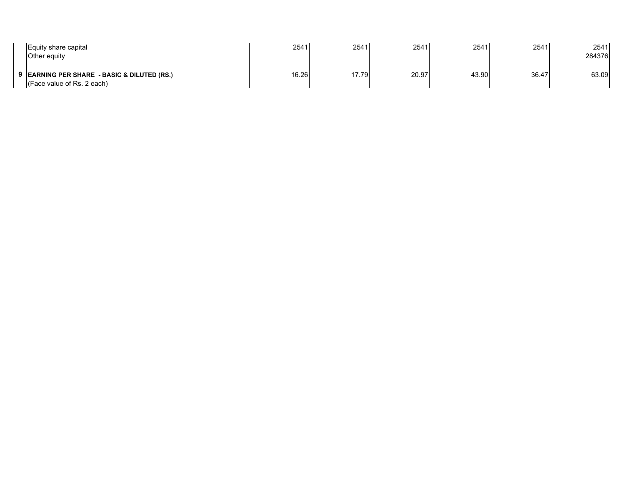| Equity share capital<br><b>Other equity</b>                                   | 2541  | 2541  | 2541  | 2541  | 2541  | 2541<br>284376 |
|-------------------------------------------------------------------------------|-------|-------|-------|-------|-------|----------------|
| 9 EARNING PER SHARE - BASIC & DILUTED (RS.)<br>$ $ (Face value of Rs. 2 each) | 16.26 | 17.79 | 20.97 | 43.90 | 36.47 | 63.09          |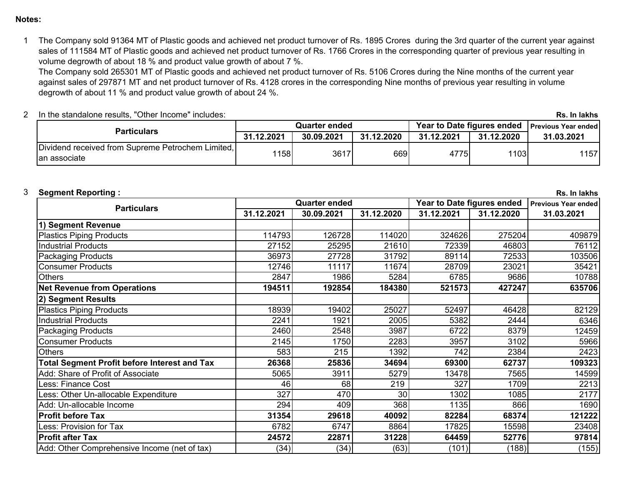## **Notes:**

1The Company sold 91364 MT of Plastic goods and achieved net product turnover of Rs. 1895 Crores during the 3rd quarter of the current year against sales of 111584 MT of Plastic goods and achieved net product turnover of Rs. 1766 Crores in the corresponding quarter of previous year resulting in volume degrowth of about 18 % and product value growth of about 7 %.

The Company sold 265301 MT of Plastic goods and achieved net product turnover of Rs. 5106 Crores during the Nine months of the current year against sales of 297871 MT and net product turnover of Rs. 4128 crores in the corresponding Nine months of previous year resulting in volume degrowth of about 11 % and product value growth of about 24 %.

| In the standalone results, "Other Income" includes:                |            |                      |            |            |            | Rs. In lakhs                                     |
|--------------------------------------------------------------------|------------|----------------------|------------|------------|------------|--------------------------------------------------|
| <b>Particulars</b>                                                 |            | <b>Quarter ended</b> |            |            |            | Year to Date figures ended   Previous Year ended |
|                                                                    | 31.12.2021 | 30.09.2021           | 31.12.2020 | 31.12.2021 | 31.12.2020 | 31.03.2021                                       |
| Dividend received from Supreme Petrochem Limited,<br>Ian associate | 1158       | 3617                 | 6691       | 4775       | 1103       | 1157                                             |

# 3

|                                                     |            | <b>Quarter ended</b> |            | Year to Date figures ended |            | <b>Previous Year ended</b> |
|-----------------------------------------------------|------------|----------------------|------------|----------------------------|------------|----------------------------|
| <b>Particulars</b>                                  | 31.12.2021 | 30.09.2021           | 31.12.2020 | 31.12.2021                 | 31.12.2020 | 31.03.2021                 |
| 1) Segment Revenue                                  |            |                      |            |                            |            |                            |
| <b>Plastics Piping Products</b>                     | 114793     | 126728               | 114020     | 324626                     | 275204     | 409879                     |
| <b>Industrial Products</b>                          | 27152      | 25295                | 21610      | 72339                      | 46803      | 76112                      |
| <b>Packaging Products</b>                           | 36973      | 27728                | 31792      | 89114                      | 72533      | 103506                     |
| <b>Consumer Products</b>                            | 12746      | 11117                | 11674      | 28709                      | 23021      | 35421                      |
| <b>Others</b>                                       | 2847       | 1986                 | 5284       | 6785                       | 9686       | 10788                      |
| <b>Net Revenue from Operations</b>                  | 194511     | 192854               | 184380     | 521573                     | 427247     | 635706                     |
| 2) Segment Results                                  |            |                      |            |                            |            |                            |
| <b>Plastics Piping Products</b>                     | 18939      | 19402                | 25027      | 52497                      | 46428      | 82129                      |
| <b>Industrial Products</b>                          | 2241       | 1921                 | 2005       | 5382                       | 2444       | 6346                       |
| <b>Packaging Products</b>                           | 2460       | 2548                 | 3987       | 6722                       | 8379       | 12459                      |
| <b>Consumer Products</b>                            | 2145       | 1750                 | 2283       | 3957                       | 3102       | 5966                       |
| <b>Others</b>                                       | 583        | 215                  | 1392       | 742                        | 2384       | 2423                       |
| <b>Total Segment Profit before Interest and Tax</b> | 26368      | 25836                | 34694      | 69300                      | 62737      | 109323                     |
| Add: Share of Profit of Associate                   | 5065       | 3911                 | 5279       | 13478                      | 7565       | 14599                      |
| Less: Finance Cost                                  | 46         | 68                   | 219        | 327                        | 1709       | 2213                       |
| ess: Other Un-allocable Expenditure                 | 327        | 470                  | 30         | 1302                       | 1085       | 2177                       |
| Add: Un-allocable Income                            | 294        | 409                  | 368        | 1135                       | 866        | 1690                       |
| <b>Profit before Tax</b>                            | 31354      | 29618                | 40092      | 82284                      | 68374      | 121222                     |
| Less: Provision for Tax                             | 6782       | 6747                 | 8864       | 17825                      | 15598      | 23408                      |
| <b>Profit after Tax</b>                             | 24572      | 22871                | 31228      | 64459                      | 52776      | 97814                      |
| Add: Other Comprehensive Income (net of tax)        | (34)       | (34)                 | (63)       | (101)                      | (188)      | (155)                      |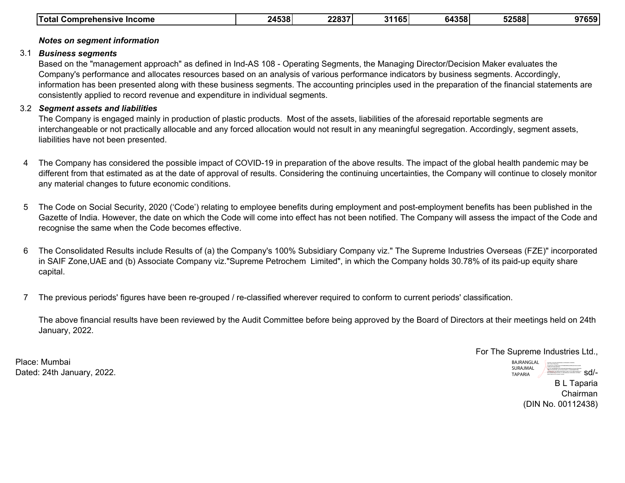| <b>Total</b><br><b>Income</b><br>∵omprehensive ب | 71538<br>. . ാഠ | ־פסמפ<br><b>22831</b> | 31165 | 64358 | 52588 | 97659 |
|--------------------------------------------------|-----------------|-----------------------|-------|-------|-------|-------|
|--------------------------------------------------|-----------------|-----------------------|-------|-------|-------|-------|

### **Notes on segment information**

### 3.1 *Business segments*

Based on the "management approach" as defined in Ind-AS 108 - Operating Segments, the Managing Director/Decision Maker evaluates the Company's performance and allocates resources based on an analysis of various performance indicators by business segments. Accordingly, information has been presented along with these business segments. The accounting principles used in the preparation of the financial statements are consistently applied to record revenue and expenditure in individual segments.

## 3.2 *Segment assets and liabilities*

The Company is engaged mainly in production of plastic products. Most of the assets, liabilities of the aforesaid reportable segments are interchangeable or not practically allocable and any forced allocation would not result in any meaningful segregation. Accordingly, segment assets, liabilities have not been presented.

- 4The Company has considered the possible impact of COVID-19 in preparation of the above results. The impact of the global health pandemic may be different from that estimated as at the date of approval of results. Considering the continuing uncertainties, the Company will continue to closely monitor any material changes to future economic conditions.
- 5The Code on Social Security, 2020 ('Code') relating to employee benefits during employment and post-employment benefits has been published in the Gazette of India. However, the date on which the Code will come into effect has not been notified. The Company will assess the impact of the Code and recognise the same when the Code becomes effective.
- 6The Consolidated Results include Results of (a) the Company's 100% Subsidiary Company viz." The Supreme Industries Overseas (FZE)" incorporated in SAIF Zone,UAE and (b) Associate Company viz."Supreme Petrochem Limited", in which the Company holds 30.78% of its paid-up equity share capital.
- 7The previous periods' figures have been re-grouped / re-classified wherever required to conform to current periods' classification.

The above financial results have been reviewed by the Audit Committee before being approved by the Board of Directors at their meetings held on 24th January, 2022.

For The Supreme Industries Ltd.,

Place: MumbaiDated: 24th January, 2022.

B L Taparia Chairman(DIN No. 00112438) BAJRANGLAL SURAJMAL TAPARIADigitally signed by BAJRANGLAL SURAJMAL TAPARIA 2.5.4.20=db08b9b8e7e95734380a87398bed887aacb7a0e7cfb40d03<br>cf8f15111e5291d3a, postalCode=400011, st=MAHARASHTRA,<br>code=5000011312c5f87ad3d25917a90112772c5f887ad3d2591a2<br>85e4280007846691173ba, cn=BAJRANGLAL SURAJMAL TAPARIA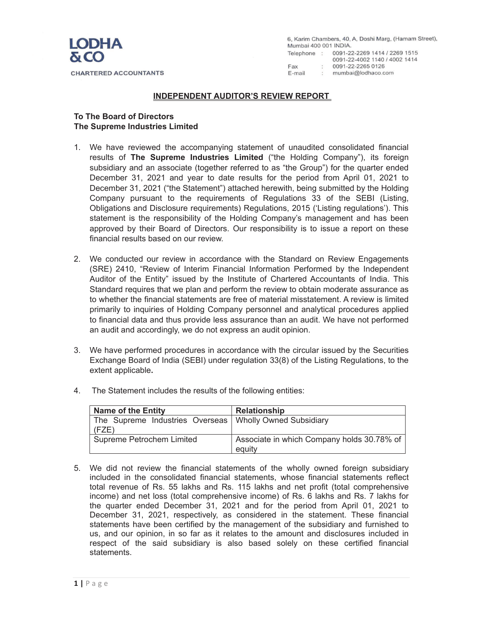

6, Karim Chambers, 40, A, Doshi Marg, (Hamam Street), Mumbai 400 001 INDIA. Telephone: 0091-22-2269 1414 / 2269 1515 0091-22-4002 1140 / 4002 1414  $: 0091 - 22 - 22650126$ Fax : mumbai@lodhaco.com E-mail

### **INDEPENDENT AUDITOR'S REVIEW REPORT**

### **To The Board of Directors The Supreme Industries Limited**

- 1. We have reviewed the accompanying statement of unaudited consolidated financial results of **The Supreme Industries Limited** ("the Holding Company"), its foreign subsidiary and an associate (together referred to as "the Group") for the quarter ended December 31, 2021 and year to date results for the period from April 01, 2021 to December 31, 2021 ("the Statement") attached herewith, being submitted by the Holding Company pursuant to the requirements of Regulations 33 of the SEBI (Listing, Obligations and Disclosure requirements) Regulations, 2015 ('Listing regulations'). This statement is the responsibility of the Holding Company's management and has been approved by their Board of Directors. Our responsibility is to issue a report on these financial results based on our review.
- 2. We conducted our review in accordance with the Standard on Review Engagements (SRE) 2410, "Review of Interim Financial Information Performed by the Independent Auditor of the Entity" issued by the Institute of Chartered Accountants of India. This Standard requires that we plan and perform the review to obtain moderate assurance as to whether the financial statements are free of material misstatement. A review is limited primarily to inquiries of Holding Company personnel and analytical procedures applied to financial data and thus provide less assurance than an audit. We have not performed an audit and accordingly, we do not express an audit opinion.
- 3. We have performed procedures in accordance with the circular issued by the Securities Exchange Board of India (SEBI) under regulation 33(8) of the Listing Regulations, to the extent applicable**.**

| <b>Name of the Entity</b>                                          | <b>Relationship</b>                                  |
|--------------------------------------------------------------------|------------------------------------------------------|
| The Supreme Industries Overseas   Wholly Owned Subsidiary<br>(FZE) |                                                      |
| Supreme Petrochem Limited                                          | Associate in which Company holds 30.78% of<br>equity |

4. The Statement includes the results of the following entities:

5. We did not review the financial statements of the wholly owned foreign subsidiary included in the consolidated financial statements, whose financial statements reflect total revenue of Rs. 55 lakhs and Rs. 115 lakhs and net profit (total comprehensive income) and net loss (total comprehensive income) of Rs. 6 lakhs and Rs. 7 lakhs for the quarter ended December 31, 2021 and for the period from April 01, 2021 to December 31, 2021, respectively, as considered in the statement. These financial statements have been certified by the management of the subsidiary and furnished to us, and our opinion, in so far as it relates to the amount and disclosures included in respect of the said subsidiary is also based solely on these certified financial statements.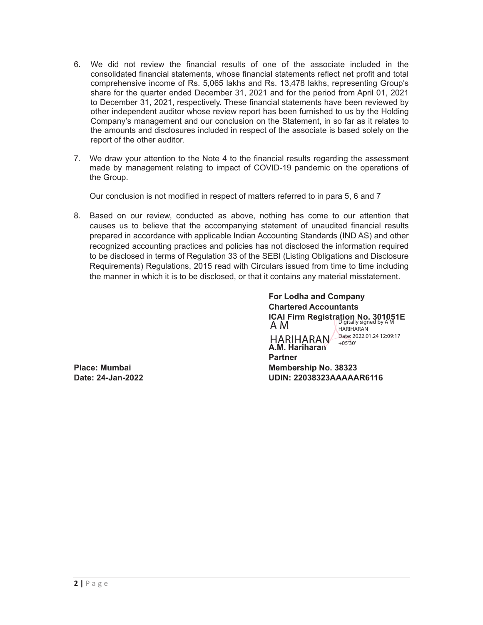- 6. We did not review the financial results of one of the associate included in the consolidated financial statements, whose financial statements reflect net profit and total comprehensive income of Rs. 5,065 lakhs and Rs. 13,478 lakhs, representing Group's share for the quarter ended December 31, 2021 and for the period from April 01, 2021 to December 31, 2021, respectively. These financial statements have been reviewed by other independent auditor whose review report has been furnished to us by the Holding Company's management and our conclusion on the Statement, in so far as it relates to the amounts and disclosures included in respect of the associate is based solely on the report of the other auditor.
- 7. We draw your attention to the Note 4 to the financial results regarding the assessment made by management relating to impact of COVID-19 pandemic on the operations of the Group.

Our conclusion is not modified in respect of matters referred to in para 5, 6 and 7

8. Based on our review, conducted as above, nothing has come to our attention that causes us to believe that the accompanying statement of unaudited financial results prepared in accordance with applicable Indian Accounting Standards (IND AS) and other recognized accounting practices and policies has not disclosed the information required to be disclosed in terms of Regulation 33 of the SEBI (Listing Obligations and Disclosure Requirements) Regulations, 2015 read with Circulars issued from time to time including the manner in which it is to be disclosed, or that it contains any material misstatement.

**For Lodha and Company Chartered Accountants ICAI Firm Registration No. 301051E A.M. Hariharan Partner Place: Mumbai Membership No. 38323 Date: 24-Jan-2022 UDIN: 22038323AAAAAR6116**  A M HARIHARAN Date: 2022.01.24 12:09:17 Digitally signed by A M HARIHARAN +05'30'